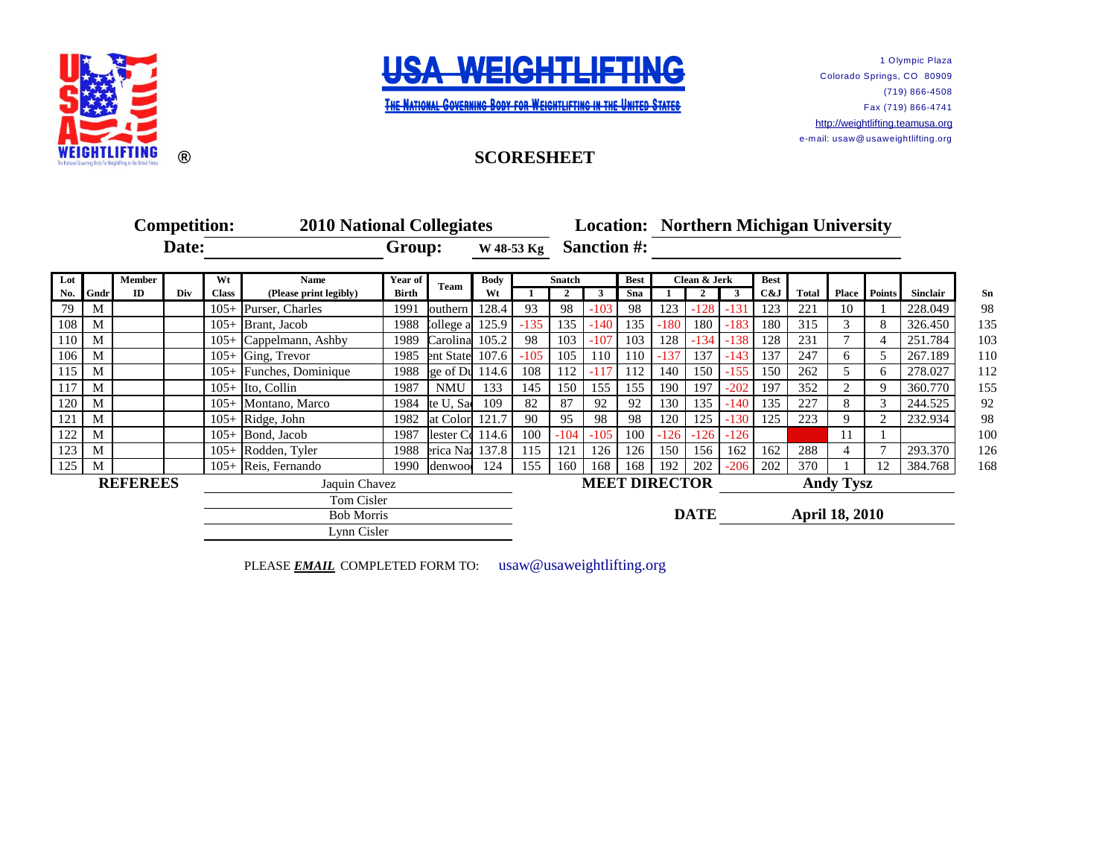



1 Olympic Plaza Colorado Springs, CO 80909 (719) 866-4508 Fax (719) 866-4741 [http://](http://weightlifting.teamusa.org/)weightlifting.teamusa.org e-mail: usaw@ usaweightlifting.org

## **SCORESHEET**

|            | <b>Competition:</b> |        |     |                   | <b>2010 National Collegiates</b> |              |                      |             |        |                    |                                      |     | <b>Location: Northern Michigan University</b> |                      |              |     |                  |    |              |                |
|------------|---------------------|--------|-----|-------------------|----------------------------------|--------------|----------------------|-------------|--------|--------------------|--------------------------------------|-----|-----------------------------------------------|----------------------|--------------|-----|------------------|----|--------------|----------------|
| Date:      |                     |        |     |                   |                                  | Group:       |                      | W 48-53 Kg  |        | <b>Sanction #:</b> |                                      |     |                                               |                      |              |     |                  |    |              |                |
| Lot        |                     | Member |     | Wt                | <b>Name</b>                      | Year of      | Team                 | <b>Body</b> |        | <b>Snatch</b>      |                                      |     | Clean & Jerk                                  |                      | <b>Best</b>  |     |                  |    |              |                |
| <b>No.</b> | Gndr                | ID     | Div | <b>Class</b>      | (Please print legibly)           | <b>Birth</b> |                      | Wt          |        | $\mathbf{2}$       | 3                                    | Sna |                                               | $\mathbf{2}$         | $\mathbf{3}$ | C&J | <b>Total</b>     |    | Place Points | Sinclair       |
| 79         | M                   |        |     |                   | 105+ Purser, Charles             | 1991         | outhern              | 128.4       | 93     | 98                 | $-103$                               | 98  | 123                                           | $-128$               | $-131$       | 123 | 221              | 10 |              | 228.049        |
| 108        | M                   |        |     |                   | $105+$ Brant, Jacob              | 1988         | $L$ ollege a $125.9$ |             | $-135$ | 135                | $-140$                               | 135 | $-180$                                        | 180                  | $-183$       | 180 | 315              | 3  | 8            | 135<br>326.450 |
| 110        | M                   |        |     |                   | 105+ Cappelmann, Ashby           | 1989         | Carolina 105.2       |             | 98     | 103                | $-107$                               | 103 | 128                                           | $-134$               | $-138$       | 128 | 231              |    |              | 103<br>251.784 |
| 106        | M                   |        |     |                   | $105+$ Ging, Trevor              | 1985         | ent State 107.6      |             | $-105$ | 105                | 110                                  | 110 | $-137$                                        | 137                  | $-143$       | 137 | 247              | б. |              | 267.189<br>110 |
| 115        | M                   |        |     |                   | 105+ Funches, Dominique          | 1988         | ge of $Du$ 114.6     |             | 108    | 112                |                                      | 112 | 140                                           | 150                  | $-155$       | 150 | 262              |    | h.           | 278.027<br>112 |
| 117        | M                   |        |     |                   | $105+$ Ito, Collin               | 1987         | <b>NMU</b>           | 133         | 145    | 150                | 155                                  | 155 | 190                                           | 197                  | $-202$       | 197 | 352              |    |              | 360.770<br>155 |
| 120        | M                   |        |     |                   | 105+ Montano, Marco              | 1984         | te U, Sa             | 109         | 82     | 87                 | 92                                   | 92  | 130                                           | 135                  | $-140$       | 135 | 227              | 8  |              | 244.525        |
| 121        | M                   |        |     |                   | 105+ Ridge, John                 | 1982         | at Color 121.7       |             | 90     | 95                 | 98                                   | 98  | 120                                           | 125                  | $-130$       | 125 | 223              |    |              | 232.934        |
| 122        | M                   |        |     | $105+$            | Bond, Jacob                      | 1987         | lester $C_0$ 114.6   |             | 100    | $-104$             | $-105$                               | 100 | $-126$                                        | $-126$               | $-126$       |     |                  |    |              |                |
| 123        | M                   |        |     |                   | 105+ Rodden, Tyler               | 1988         | erica Naz 137.8      |             | 115    | 121                | 126                                  | 126 | 150                                           | 156                  | 162          | 162 | 288              |    |              | 293.370        |
| 125        | M                   |        |     |                   | 105+ Reis, Fernando              | 1990         | denwoo               | 124         | 155    | 160                | 168                                  | 168 | 192                                           | 202                  | $-206$       | 202 | 370              |    |              | 384.768        |
|            | <b>REFEREES</b>     |        |     | Jaquin Chavez     |                                  |              |                      |             |        |                    |                                      |     |                                               | <b>MEET DIRECTOR</b> |              |     | <b>Andy Tysz</b> |    |              |                |
|            |                     |        |     |                   | Tom Cisler                       |              |                      |             |        |                    |                                      |     |                                               |                      |              |     |                  |    |              |                |
|            |                     |        |     | <b>Bob Morris</b> |                                  |              |                      |             |        |                    | <b>DATE</b><br><b>April 18, 2010</b> |     |                                               |                      |              |     |                  |    |              |                |
|            |                     |        |     | Lynn Cisler       |                                  |              |                      |             |        |                    |                                      |     |                                               |                      |              |     |                  |    |              |                |

PLEASE **EMAIL** COMPLETED FORM TO: usaw@usaweightlifting.org